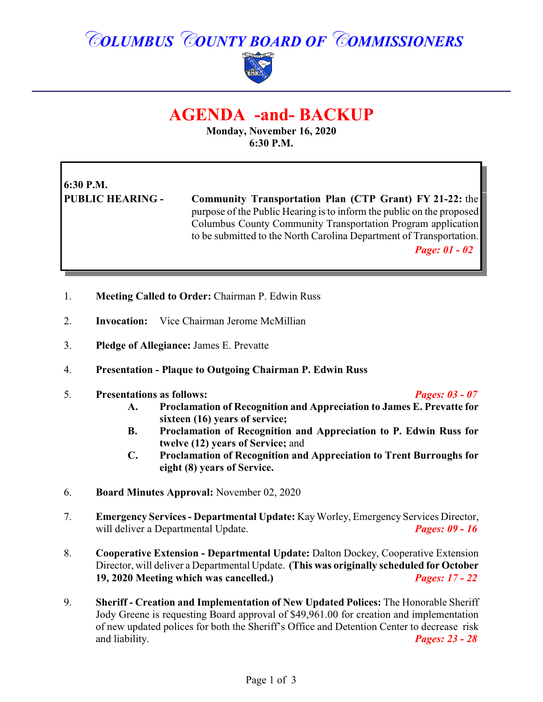# *COLUMBUS COUNTY BOARD OF COMMISSIONERS*



## **AGENDA -and- BACKUP**

**Monday, November 16, 2020 6:30 P.M.**

# **6:30 P.M.**

**PUBLIC HEARING - Community Transportation Plan (CTP Grant) FY 21-22:** the purpose of the Public Hearing is to inform the public on the proposed Columbus County Community Transportation Program application to be submitted to the North Carolina Department of Transportation.

*Page: 01 - 02*

- 1. **Meeting Called to Order:** Chairman P. Edwin Russ
- 2. **Invocation:** Vice Chairman Jerome McMillian
- 3. **Pledge of Allegiance:** James E. Prevatte
- 4. **Presentation Plaque to Outgoing Chairman P. Edwin Russ**
- 5. **Presentations as follows:** *Pages: 03 07*

- **A. Proclamation of Recognition and Appreciation to James E. Prevatte for sixteen (16) years of service;**
- **B. Proclamation of Recognition and Appreciation to P. Edwin Russ for twelve (12) years of Service;** and
- **C. Proclamation of Recognition and Appreciation to Trent Burroughs for eight (8) years of Service.**
- 6. **Board Minutes Approval:** November 02, 2020
- 7. **Emergency Services Departmental Update:** KayWorley, Emergency Services Director, will deliver a Departmental Update. *Pages: 09 - 16*
- 8. **Cooperative Extension Departmental Update:** Dalton Dockey, Cooperative Extension Director, will deliver a Departmental Update. **(This was originally scheduled for October 19, 2020 Meeting which was cancelled.)** *Pages: 17 - 22*
- 9. **Sheriff Creation and Implementation of New Updated Polices:** The Honorable Sheriff Jody Greene is requesting Board approval of \$49,961.00 for creation and implementation of new updated polices for both the Sheriff's Office and Detention Center to decrease risk and liability. *Pages: 23 - 28*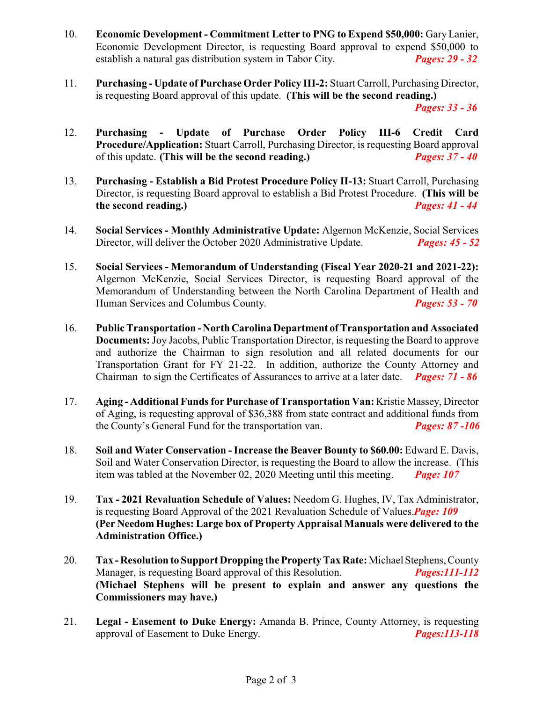- 10. **Economic Development Commitment Letter to PNG to Expend \$50,000:** GaryLanier, Economic Development Director, is requesting Board approval to expend \$50,000 to establish a natural gas distribution system in Tabor City. *Pages: 29 - 32*
- 11. **Purchasing Update of Purchase Order Policy III-2:** Stuart Carroll, Purchasing Director, is requesting Board approval of this update. **(This will be the second reading.)**

*Pages: 33 - 36*

- 12. **Purchasing Update of Purchase Order Policy III-6 Credit Card Procedure/Application:** Stuart Carroll, Purchasing Director, is requesting Board approval of this update. **(This will be the second reading.)** *Pages: 37 - 40*
- 13. **Purchasing Establish a Bid Protest Procedure Policy II-13:** Stuart Carroll, Purchasing Director, is requesting Board approval to establish a Bid Protest Procedure. **(This will be** the second reading.) **Pages: 41 - 44** *the second reading.*
- 14. **Social Services Monthly Administrative Update:** Algernon McKenzie, Social Services Director, will deliver the October 2020 Administrative Update. *Pages: 45 - 52*
- 15. **Social Services - Memorandum of Understanding (Fiscal Year 2020-21 and 2021-22):** Algernon McKenzie, Social Services Director, is requesting Board approval of the Memorandum of Understanding between the North Carolina Department of Health and Human Services and Columbus County. *Pages: 53 - 70*
- 16. **Public Transportation North Carolina Department ofTransportation and Associated Documents:**Joy Jacobs, Public Transportation Director, is requesting the Board to approve and authorize the Chairman to sign resolution and all related documents for our Transportation Grant for FY 21-22. In addition, authorize the County Attorney and Chairman to sign the Certificates of Assurances to arrive at a later date. *Pages: 71 - 86*
- 17. **Aging Additional Funds for Purchase of Transportation Van:** Kristie Massey, Director of Aging, is requesting approval of \$36,388 from state contract and additional funds from the County's General Fund for the transportation van. *Pages: 87 -106*
- 18. **Soil and Water Conservation Increase the Beaver Bounty to \$60.00:** Edward E. Davis, Soil and Water Conservation Director, is requesting the Board to allow the increase. (This item was tabled at the November 02, 2020 Meeting until this meeting. *Page: 107*
- 19. **Tax 2021 Revaluation Schedule of Values:** Needom G. Hughes, IV, Tax Administrator, is requesting Board Approval of the 2021 Revaluation Schedule of Values.*Page: 109* **(Per Needom Hughes: Large box of Property Appraisal Manuals were delivered to the Administration Office.)**
- 20. **Tax Resolution to Support Dropping the Property Tax Rate:**Michael Stephens, County Manager, is requesting Board approval of this Resolution. *Pages:111-112* **(Michael Stephens will be present to explain and answer any questions the Commissioners may have.)**
- 21. **Legal Easement to Duke Energy:** Amanda B. Prince, County Attorney, is requesting approval of Easement to Duke Energy. *Pages:113-118*